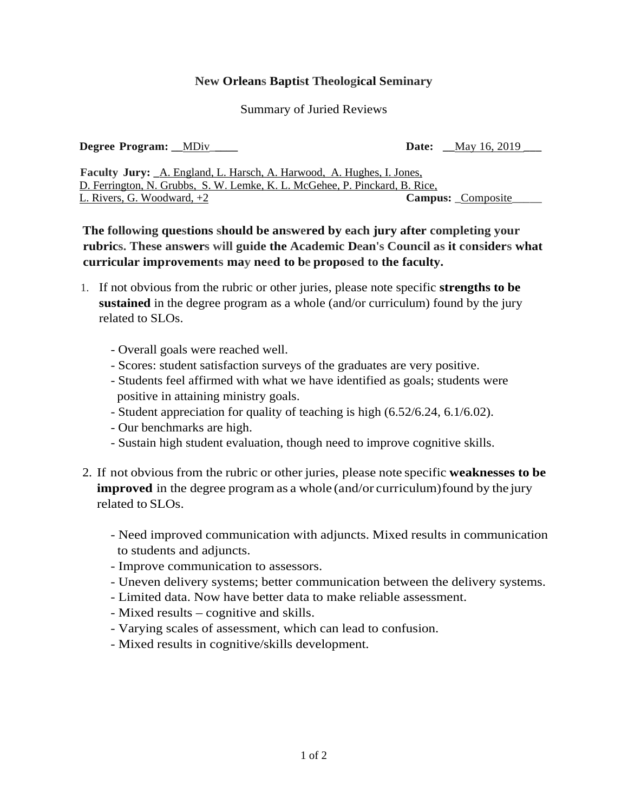## **New Orleans Baptist Theological Seminary**

## Summary of Juried Reviews

**Degree Program: \_\_**MDiv\_**\_\_\_\_ Date: \_\_**May 16, 2019 **\_\_\_**

**Faculty Jury: \_**A. England, L. Harsch, A. Harwood, A. Hughes, I. Jones, D. Ferrington, N. Grubbs, S. W. Lemke, K. L. McGehee, P. Pinckard, B. Rice, L. Rivers, G. Woodward, +2 **Campus:** \_Composite\_\_\_\_\_

## **The following questions should be answered by each jury after completing your rubrics. These answers will guide the Academic Dean's Council as it considers what curricular improvements may need to be proposed to the faculty.**

- 1. If not obvious from the rubric or other juries, please note specific **strengths to be sustained** in the degree program as a whole (and/or curriculum) found by the jury related to SLOs.
	- Overall goals were reached well.
	- Scores: student satisfaction surveys of the graduates are very positive.
	- Students feel affirmed with what we have identified as goals; students were positive in attaining ministry goals.
	- Student appreciation for quality of teaching is high (6.52/6.24, 6.1/6.02).
	- Our benchmarks are high.
	- Sustain high student evaluation, though need to improve cognitive skills.
- 2. If not obvious from the rubric or other juries, please note specific **weaknesses to be improved** in the degree program as a whole (and/or curriculum) found by the jury related to SLOs.
	- Need improved communication with adjuncts. Mixed results in communication to students and adjuncts.
	- Improve communication to assessors.
	- Uneven delivery systems; better communication between the delivery systems.
	- Limited data. Now have better data to make reliable assessment.
	- Mixed results cognitive and skills.
	- Varying scales of assessment, which can lead to confusion.
	- Mixed results in cognitive/skills development.